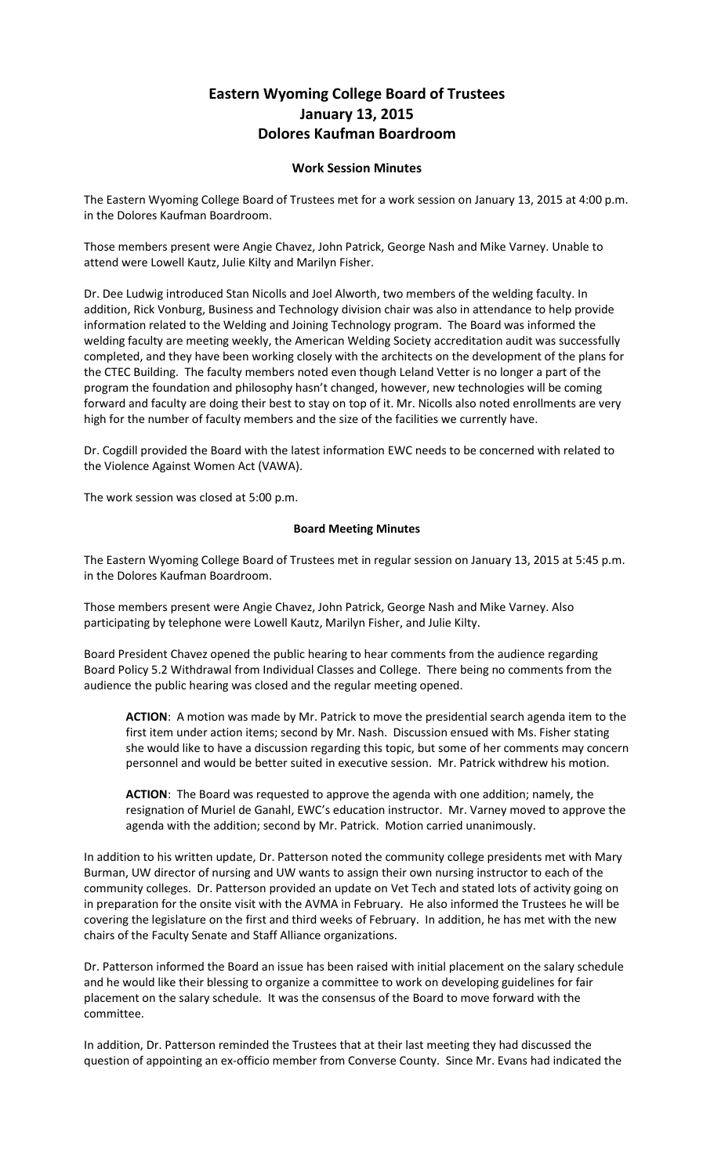## **Eastern Wyoming College Board of Trustees January 13, 2015 Dolores Kaufman Boardroom**

## **Work Session Minutes**

The Eastern Wyoming College Board of Trustees met for a work session on January 13, 2015 at 4:00 p.m. in the Dolores Kaufman Boardroom.

Those members present were Angie Chavez, John Patrick, George Nash and Mike Varney. Unable to attend were Lowell Kautz, Julie Kilty and Marilyn Fisher.

Dr. Dee Ludwig introduced Stan Nicolls and Joel Alworth, two members of the welding faculty. In addition, Rick Vonburg, Business and Technology division chair was also in attendance to help provide information related to the Welding and Joining Technology program. The Board was informed the welding faculty are meeting weekly, the American Welding Society accreditation audit was successfully completed, and they have been working closely with the architects on the development of the plans for the CTEC Building. The faculty members noted even though Leland Vetter is no longer a part of the program the foundation and philosophy hasn't changed, however, new technologies will be coming forward and faculty are doing their best to stay on top of it. Mr. Nicolls also noted enrollments are very high for the number of faculty members and the size of the facilities we currently have.

Dr. Cogdill provided the Board with the latest information EWC needs to be concerned with related to the Violence Against Women Act (VAWA).

The work session was closed at 5:00 p.m.

## **Board Meeting Minutes**

The Eastern Wyoming College Board of Trustees met in regular session on January 13, 2015 at 5:45 p.m. in the Dolores Kaufman Boardroom.

Those members present were Angie Chavez, John Patrick, George Nash and Mike Varney. Also participating by telephone were Lowell Kautz, Marilyn Fisher, and Julie Kilty.

Board President Chavez opened the public hearing to hear comments from the audience regarding Board Policy 5.2 Withdrawal from Individual Classes and College. There being no comments from the audience the public hearing was closed and the regular meeting opened.

**ACTION**: A motion was made by Mr. Patrick to move the presidential search agenda item to the first item under action items; second by Mr. Nash. Discussion ensued with Ms. Fisher stating she would like to have a discussion regarding this topic, but some of her comments may concern personnel and would be better suited in executive session. Mr. Patrick withdrew his motion.

**ACTION**: The Board was requested to approve the agenda with one addition; namely, the resignation of Muriel de Ganahl, EWC's education instructor. Mr. Varney moved to approve the agenda with the addition; second by Mr. Patrick. Motion carried unanimously.

In addition to his written update, Dr. Patterson noted the community college presidents met with Mary Burman, UW director of nursing and UW wants to assign their own nursing instructor to each of the community colleges. Dr. Patterson provided an update on Vet Tech and stated lots of activity going on in preparation for the onsite visit with the AVMA in February. He also informed the Trustees he will be covering the legislature on the first and third weeks of February. In addition, he has met with the new chairs of the Faculty Senate and Staff Alliance organizations.

Dr. Patterson informed the Board an issue has been raised with initial placement on the salary schedule and he would like their blessing to organize a committee to work on developing guidelines for fair placement on the salary schedule. It was the consensus of the Board to move forward with the committee.

In addition, Dr. Patterson reminded the Trustees that at their last meeting they had discussed the question of appointing an ex-officio member from Converse County. Since Mr. Evans had indicated the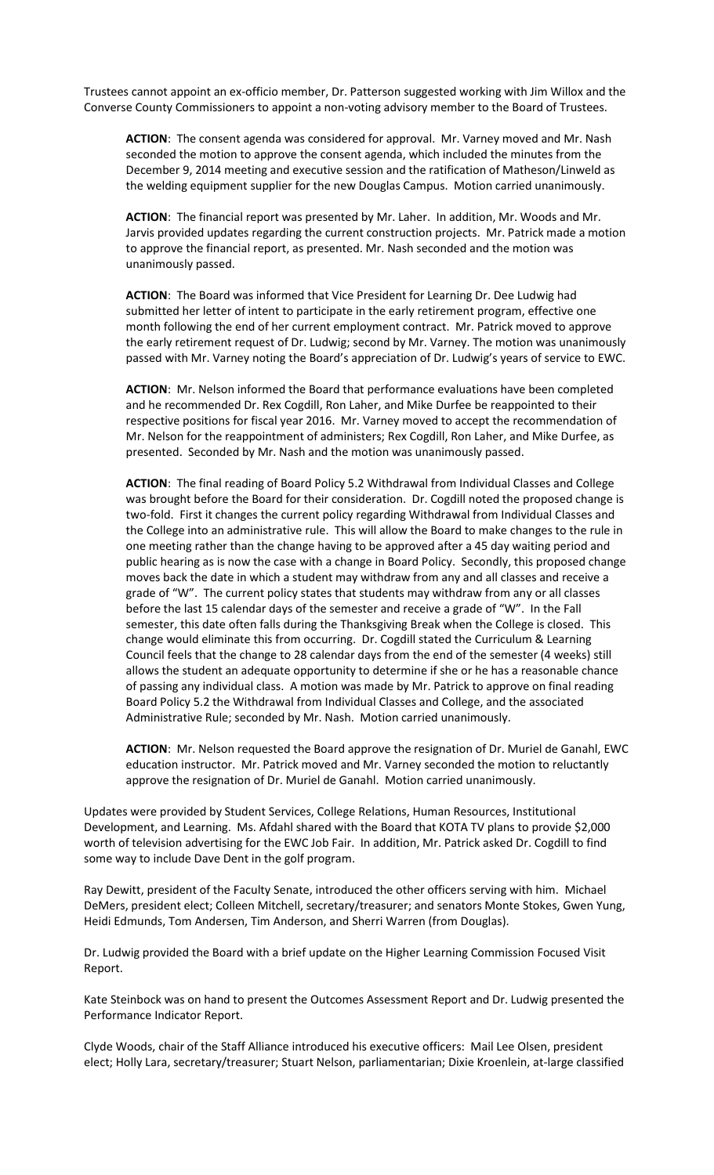Trustees cannot appoint an ex-officio member, Dr. Patterson suggested working with Jim Willox and the Converse County Commissioners to appoint a non-voting advisory member to the Board of Trustees.

**ACTION**: The consent agenda was considered for approval. Mr. Varney moved and Mr. Nash seconded the motion to approve the consent agenda, which included the minutes from the December 9, 2014 meeting and executive session and the ratification of Matheson/Linweld as the welding equipment supplier for the new Douglas Campus. Motion carried unanimously.

**ACTION**: The financial report was presented by Mr. Laher. In addition, Mr. Woods and Mr. Jarvis provided updates regarding the current construction projects. Mr. Patrick made a motion to approve the financial report, as presented. Mr. Nash seconded and the motion was unanimously passed.

**ACTION**: The Board was informed that Vice President for Learning Dr. Dee Ludwig had submitted her letter of intent to participate in the early retirement program, effective one month following the end of her current employment contract. Mr. Patrick moved to approve the early retirement request of Dr. Ludwig; second by Mr. Varney. The motion was unanimously passed with Mr. Varney noting the Board's appreciation of Dr. Ludwig's years of service to EWC.

**ACTION**: Mr. Nelson informed the Board that performance evaluations have been completed and he recommended Dr. Rex Cogdill, Ron Laher, and Mike Durfee be reappointed to their respective positions for fiscal year 2016. Mr. Varney moved to accept the recommendation of Mr. Nelson for the reappointment of administers; Rex Cogdill, Ron Laher, and Mike Durfee, as presented. Seconded by Mr. Nash and the motion was unanimously passed.

**ACTION**: The final reading of Board Policy 5.2 Withdrawal from Individual Classes and College was brought before the Board for their consideration. Dr. Cogdill noted the proposed change is two-fold. First it changes the current policy regarding Withdrawal from Individual Classes and the College into an administrative rule. This will allow the Board to make changes to the rule in one meeting rather than the change having to be approved after a 45 day waiting period and public hearing as is now the case with a change in Board Policy. Secondly, this proposed change moves back the date in which a student may withdraw from any and all classes and receive a grade of "W". The current policy states that students may withdraw from any or all classes before the last 15 calendar days of the semester and receive a grade of "W". In the Fall semester, this date often falls during the Thanksgiving Break when the College is closed. This change would eliminate this from occurring. Dr. Cogdill stated the Curriculum & Learning Council feels that the change to 28 calendar days from the end of the semester (4 weeks) still allows the student an adequate opportunity to determine if she or he has a reasonable chance of passing any individual class. A motion was made by Mr. Patrick to approve on final reading Board Policy 5.2 the Withdrawal from Individual Classes and College, and the associated Administrative Rule; seconded by Mr. Nash. Motion carried unanimously.

**ACTION**: Mr. Nelson requested the Board approve the resignation of Dr. Muriel de Ganahl, EWC education instructor. Mr. Patrick moved and Mr. Varney seconded the motion to reluctantly approve the resignation of Dr. Muriel de Ganahl. Motion carried unanimously.

Updates were provided by Student Services, College Relations, Human Resources, Institutional Development, and Learning. Ms. Afdahl shared with the Board that KOTA TV plans to provide \$2,000 worth of television advertising for the EWC Job Fair. In addition, Mr. Patrick asked Dr. Cogdill to find some way to include Dave Dent in the golf program.

Ray Dewitt, president of the Faculty Senate, introduced the other officers serving with him. Michael DeMers, president elect; Colleen Mitchell, secretary/treasurer; and senators Monte Stokes, Gwen Yung, Heidi Edmunds, Tom Andersen, Tim Anderson, and Sherri Warren (from Douglas).

Dr. Ludwig provided the Board with a brief update on the Higher Learning Commission Focused Visit Report.

Kate Steinbock was on hand to present the Outcomes Assessment Report and Dr. Ludwig presented the Performance Indicator Report.

Clyde Woods, chair of the Staff Alliance introduced his executive officers: Mail Lee Olsen, president elect; Holly Lara, secretary/treasurer; Stuart Nelson, parliamentarian; Dixie Kroenlein, at-large classified